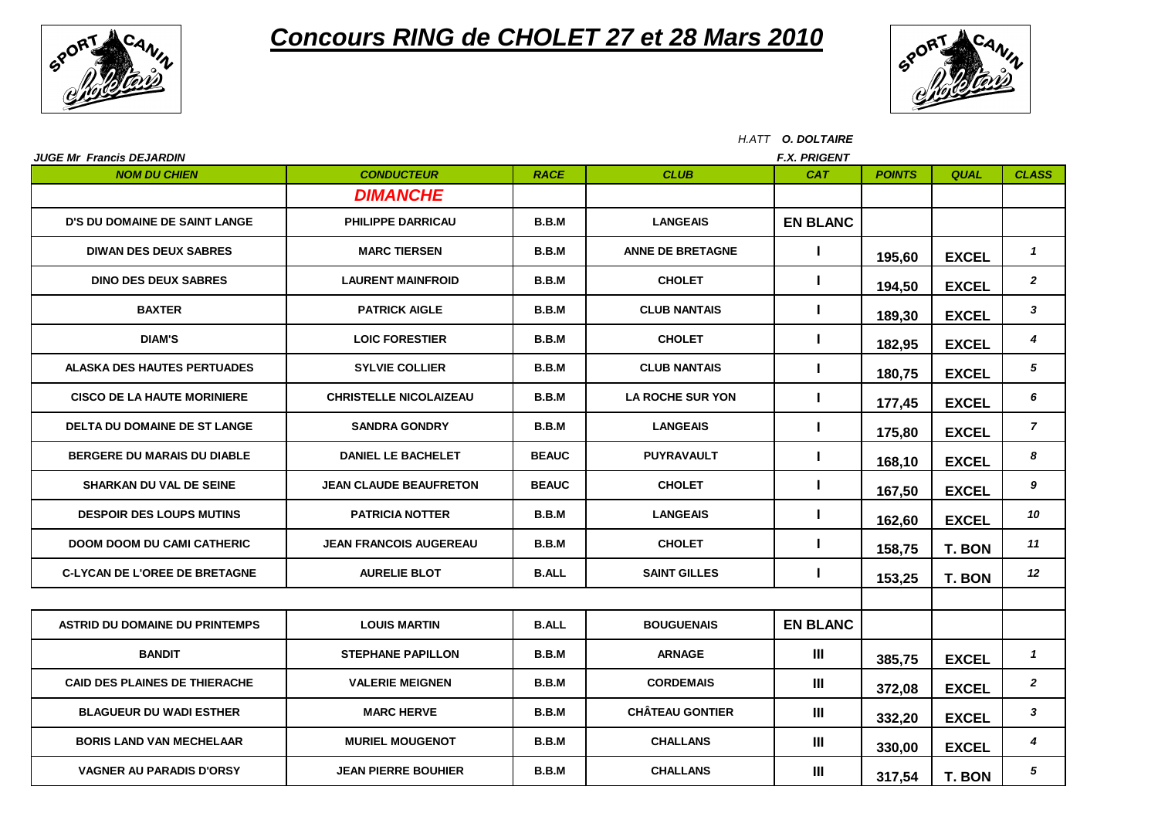

## *Concours RING de CHOLET 27 et 28 Mars 2010*



|                                                        | H.ATT O. DOLTAIRE             |              |                         |                                   |               |               |                  |  |  |
|--------------------------------------------------------|-------------------------------|--------------|-------------------------|-----------------------------------|---------------|---------------|------------------|--|--|
| <b>JUGE Mr Francis DEJARDIN</b><br><b>NOM DU CHIEN</b> | <b>CONDUCTEUR</b>             | <b>RACE</b>  | <b>CLUB</b>             | <b>F.X. PRIGENT</b><br><b>CAT</b> | <b>POINTS</b> | <b>QUAL</b>   | <b>CLASS</b>     |  |  |
|                                                        | <b>DIMANCHE</b>               |              |                         |                                   |               |               |                  |  |  |
| <b>D'S DU DOMAINE DE SAINT LANGE</b>                   | <b>PHILIPPE DARRICAU</b>      | B.B.M        | <b>LANGEAIS</b>         | <b>EN BLANC</b>                   |               |               |                  |  |  |
| <b>DIWAN DES DEUX SABRES</b>                           | <b>MARC TIERSEN</b>           | B.B.M        | <b>ANNE DE BRETAGNE</b> | L                                 | 195,60        | <b>EXCEL</b>  | $\mathbf{1}$     |  |  |
| <b>DINO DES DEUX SABRES</b>                            | <b>LAURENT MAINFROID</b>      | B.B.M        | <b>CHOLET</b>           | L                                 | 194,50        | <b>EXCEL</b>  | $\overline{2}$   |  |  |
| <b>BAXTER</b>                                          | <b>PATRICK AIGLE</b>          | B.B.M        | <b>CLUB NANTAIS</b>     | $\mathbf{I}$                      | 189,30        | <b>EXCEL</b>  | $\mathbf{3}$     |  |  |
| <b>DIAM'S</b>                                          | <b>LOIC FORESTIER</b>         | B.B.M        | <b>CHOLET</b>           | T                                 | 182,95        | <b>EXCEL</b>  | 4                |  |  |
| <b>ALASKA DES HAUTES PERTUADES</b>                     | <b>SYLVIE COLLIER</b>         | B.B.M        | <b>CLUB NANTAIS</b>     | L                                 | 180,75        | <b>EXCEL</b>  | 5                |  |  |
| <b>CISCO DE LA HAUTE MORINIERE</b>                     | <b>CHRISTELLE NICOLAIZEAU</b> | B.B.M        | <b>LA ROCHE SUR YON</b> | L                                 | 177,45        | <b>EXCEL</b>  | 6                |  |  |
| <b>DELTA DU DOMAINE DE ST LANGE</b>                    | <b>SANDRA GONDRY</b>          | B.B.M        | <b>LANGEAIS</b>         | L                                 | 175,80        | <b>EXCEL</b>  | $\overline{7}$   |  |  |
| BERGERE DU MARAIS DU DIABLE                            | <b>DANIEL LE BACHELET</b>     | <b>BEAUC</b> | <b>PUYRAVAULT</b>       | $\mathbf{I}$                      | 168,10        | <b>EXCEL</b>  | 8                |  |  |
| <b>SHARKAN DU VAL DE SEINE</b>                         | <b>JEAN CLAUDE BEAUFRETON</b> | <b>BEAUC</b> | <b>CHOLET</b>           | L                                 | 167,50        | <b>EXCEL</b>  | 9                |  |  |
| <b>DESPOIR DES LOUPS MUTINS</b>                        | <b>PATRICIA NOTTER</b>        | B.B.M        | <b>LANGEAIS</b>         | $\mathbf{I}$                      | 162,60        | <b>EXCEL</b>  | 10               |  |  |
| <b>DOOM DOOM DU CAMI CATHERIC</b>                      | <b>JEAN FRANCOIS AUGEREAU</b> | B.B.M        | <b>CHOLET</b>           | L                                 | 158,75        | T. BON        | 11               |  |  |
| <b>C-LYCAN DE L'OREE DE BRETAGNE</b>                   | <b>AURELIE BLOT</b>           | <b>B.ALL</b> | <b>SAINT GILLES</b>     | L                                 | 153,25        | <b>T. BON</b> | 12               |  |  |
|                                                        |                               |              |                         |                                   |               |               |                  |  |  |
| <b>ASTRID DU DOMAINE DU PRINTEMPS</b>                  | <b>LOUIS MARTIN</b>           | <b>B.ALL</b> | <b>BOUGUENAIS</b>       | <b>EN BLANC</b>                   |               |               |                  |  |  |
| <b>BANDIT</b>                                          | <b>STEPHANE PAPILLON</b>      | B.B.M        | <b>ARNAGE</b>           | Ш                                 | 385,75        | <b>EXCEL</b>  | $\mathbf{1}$     |  |  |
| <b>CAID DES PLAINES DE THIERACHE</b>                   | <b>VALERIE MEIGNEN</b>        | B.B.M        | <b>CORDEMAIS</b>        | Ш                                 | 372,08        | <b>EXCEL</b>  | $\boldsymbol{2}$ |  |  |
| <b>BLAGUEUR DU WADI ESTHER</b>                         | <b>MARC HERVE</b>             | B.B.M        | <b>CHÂTEAU GONTIER</b>  | $\mathbf{III}$                    | 332,20        | <b>EXCEL</b>  | $\mathbf{3}$     |  |  |
| <b>BORIS LAND VAN MECHELAAR</b>                        | <b>MURIEL MOUGENOT</b>        | B.B.M        | <b>CHALLANS</b>         | $\mathbf{III}$                    | 330,00        | <b>EXCEL</b>  | 4                |  |  |
| <b>VAGNER AU PARADIS D'ORSY</b>                        | <b>JEAN PIERRE BOUHIER</b>    | B.B.M        | <b>CHALLANS</b>         | Ш                                 | 317,54        | T. BON        | 5                |  |  |